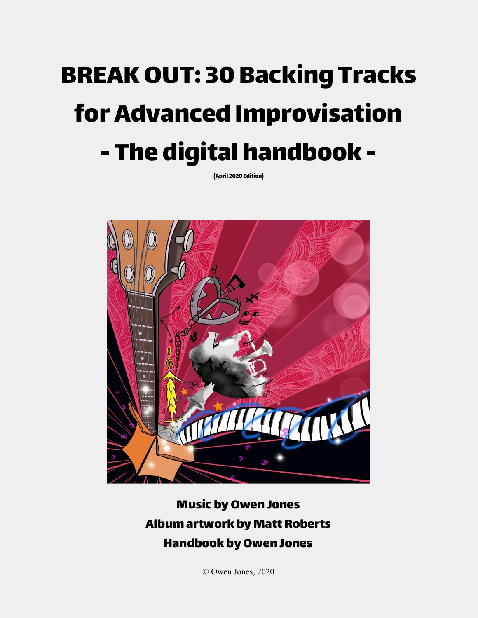# BREAKOUT: 30 Backing Tracks for Advanced Improvisation - The digital handbook -

(April 2020 Edition)



# **Music by Owen Jones** Album artwork by Matt Roberts **Handbook by Owen Jones**

© Owen Jones, 2020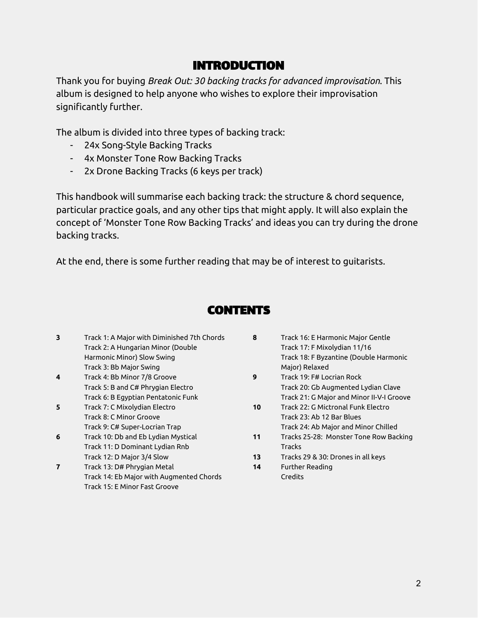### INTRODUCTION

Thank you for buying *Break Out: 30 backing tracks for advanced improvisation*. This album is designed to help anyone who wishes to explore their improvisation significantly further.

The album is divided into three types of backing track:

- 24x Song-Style Backing Tracks
- 4x Monster Tone Row Backing Tracks
- 2x Drone Backing Tracks (6 keys per track)

This handbook will summarise each backing track: the structure & chord sequence, particular practice goals, and any other tips that might apply. It will also explain the concept of 'Monster Tone Row Backing Tracks' and ideas you can try during the drone backing tracks.

At the end, there is some further reading that may be of interest to guitarists.

# **CONTENTS**

- **3** Track 1: A Major with Diminished 7th Chords Track 2: A Hungarian Minor (Double Harmonic Minor) Slow Swing Track 3: Bb Major Swing
- **4** Track 4: Bb Minor 7/8 Groove Track 5: B and C# Phrygian Electro Track 6: B Egyptian Pentatonic Funk
- **5** Track 7: C Mixolydian Electro Track 8: C Minor Groove Track 9: C# Super-Locrian Trap
- **6** Track 10: Db and Eb Lydian Mystical Track 11: D Dominant Lydian Rnb Track 12: D Major 3/4 Slow
- **7** Track 13: D# Phrygian Metal Track 14: Eb Major with Augmented Chords Track 15: E Minor Fast Groove
- **8** Track 16: E Harmonic Major Gentle Track 17: F Mixolydian 11/16 Track 18: F Byzantine (Double Harmonic Major) Relaxed
- **9** Track 19: F# Locrian Rock Track 20: Gb Augmented Lydian Clave Track 21: G Major and Minor II-V-I Groove
- **10** Track 22: G Mictronal Funk Electro Track 23: Ab 12 Bar Blues Track 24: Ab Major and Minor Chilled
- **11** Tracks 25-28: Monster Tone Row Backing Tracks
- **13** Tracks 29 & 30: Drones in all keys
- **14** Further Reading Credits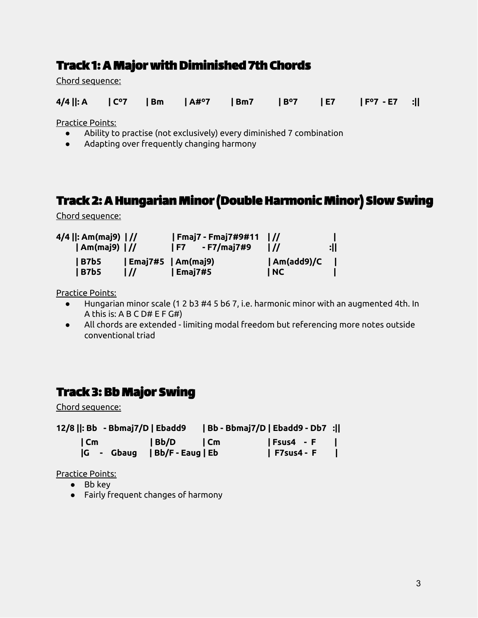# Track 1: A Major with Diminished 7th Chords

Chord sequence:

|  |  |  | $4/4$   : A   C°7   Bm   A#°7   Bm7   B°7   E7   F°7 - E7 : |  |
|--|--|--|-------------------------------------------------------------|--|

Practice Points:

- Ability to practise (not exclusively) every diminished 7 combination
- Adapting over frequently changing harmony

# Track 2: AHungarian Minor(DoubleHarmonic Minor) Slow Swing

Chord sequence:

| 4/4   : Am(maj9)    //<br>$ Am(maj9)$ $ $ // |                                                   | 1 F7    | Fmaj7 - Fmaj7#9#11   //<br>- F7/maj7#9 | $\frac{1}{2}$       | :11 |
|----------------------------------------------|---------------------------------------------------|---------|----------------------------------------|---------------------|-----|
| B7b5<br>  B7b5                               | $\vert$ Emaj7#5 $\vert$ Am(maj9)<br>$\frac{1}{2}$ | Emaj7#5 |                                        | Am(add9)/C <br>  NC |     |

Practice Points:

- Hungarian minor scale (1 2 b3 #4 5 b6 7, i.e. harmonic minor with an augmented 4th. In A this is: A B C D# E F G#)
- All chords are extended limiting modal freedom but referencing more notes outside conventional triad

# Track 3: Bb Major Swing

Chord sequence:

| 12/8   : Bb - Bbmaj7/D   Ebadd9 |                                  | Bb - Bbmaj7/D   Ebadd9 - Db7 : |                   |  |
|---------------------------------|----------------------------------|--------------------------------|-------------------|--|
|                                 |                                  |                                | Fsus4 - F         |  |
|                                 | $ G - G$ baug   Bb/F - Eaug   Eb |                                | <b>F7sus4 - F</b> |  |

- Bb key
- Fairly frequent changes of harmony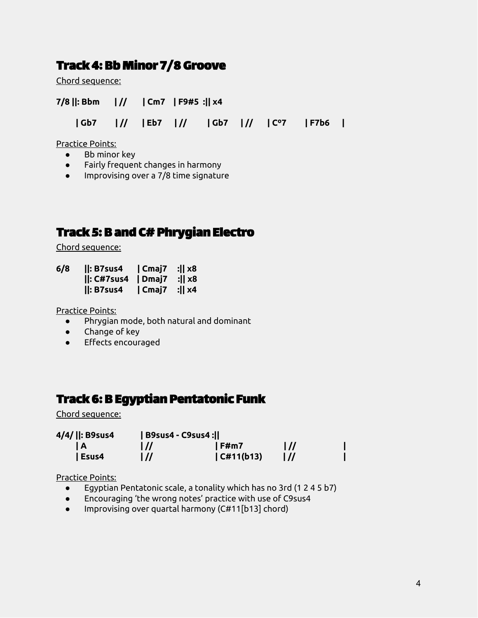### Track 4: Bb Minor 7/8 Groove

Chord sequence:

| $7/8$   : Bbm   //   Cm7   F9#5 :   x4 |  |  |  |                                  |  |
|----------------------------------------|--|--|--|----------------------------------|--|
|                                        |  |  |  | Gb7 / Eb7 / Gb7 / Gb7 / C°7 F7b6 |  |

Practice Points:

- Bb minor key
- Fairly frequent changes in harmony
- Improvising over a 7/8 time signature

# Track 5: B and C#Phrygian Electro

Chord sequence:

**6/8 ||: B7sus4 | Cmaj7 :|| x8 ||: C#7sus4 | Dmaj7 :|| x8 ||: B7sus4 | Cmaj7 :|| x4**

Practice Points:

- Phrygian mode, both natural and dominant
- Change of key
- Effects encouraged

# Track 6: B Egyptian Pentatonic Funk

Chord sequence:

| 4/4/   : B9sus4 |                | B9sus4 - C9sus4 : |                             |  |
|-----------------|----------------|-------------------|-----------------------------|--|
| I A             | $\overline{U}$ | $\sqrt{F}$ F#m7   | $\vert \prime \prime \vert$ |  |
| Esus4           | l //           | C#11(b13)         |                             |  |

- Egyptian Pentatonic scale, a tonality which has no 3rd (1 2 4 5 b7)
- Encouraging 'the wrong notes' practice with use of C9sus4
- Improvising over quartal harmony (C#11[b13] chord)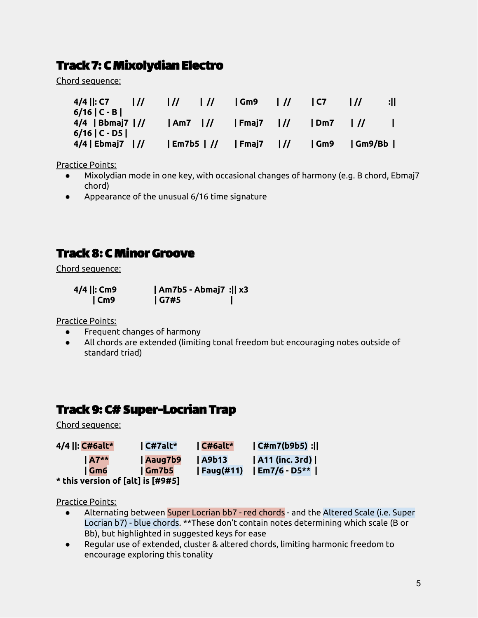# Track 7: C Mixolydian Electro

Chord sequence:

| $4/4$   : C7<br>$6/16$   C - B         | $\frac{1}{2}$ | $\overline{U}$ | $\frac{1}{2}$ | l Gm9                                    | $\frac{1}{2}$ | 1 C7    |        | : |
|----------------------------------------|---------------|----------------|---------------|------------------------------------------|---------------|---------|--------|---|
| $4/4$   Bbmaj7   //<br>$6/16$   C - D5 |               | Am7            |               | $\mathsf{Fmaj7}$ $\mathsf{I}/\mathsf{I}$ |               | $1$ Dm7 |        |   |
| $4/4$   Ebmaj7   //                    |               | $ Em7b5 $ //   |               | $\mathsf{Fmaj7}$ $\mathsf{I}/\mathsf{I}$ |               | Gm9     | Gm9/Bb |   |

Practice Points:

- Mixolydian mode in one key, with occasional changes of harmony (e.g. B chord, Ebmaj7 chord)
- Appearance of the unusual 6/16 time signature

# Track 8: C Minor Groove

Chord sequence:

| 4/4   : Cm9     | $ Am7b5 - Abmaj7 :  x3$ |  |
|-----------------|-------------------------|--|
| $\mathsf{ICm9}$ | G7#5                    |  |

Practice Points:

- Frequent changes of harmony
- All chords are extended (limiting tonal freedom but encouraging notes outside of standard triad)

### Track 9: C#Super-Locrian Trap

Chord sequence:

| 4/4   : C#6alt*                   | $ $ C#7alt*     | $\mathsf{C#Galt}^*$ | CHm7(b9b5):      |
|-----------------------------------|-----------------|---------------------|------------------|
| $IA7**$                           | Aaug7b9         | $\vert$ A9b13       | A11 (inc. 3rd)   |
| Gm6                               | $\sqrt{Gm}$ 7b5 | $ $ Faug $(#11)$    | $ Em7/6 - D5** $ |
| * this version of [alt] is [#9#5] |                 |                     |                  |

- Alternating between Super Locrian bb7 red chords and the Altered Scale (i.e. Super Locrian b7) - blue chords. \*\*These don't contain notes determining which scale (B or Bb), but highlighted in suggested keys for ease
- Regular use of extended, cluster & altered chords, limiting harmonic freedom to encourage exploring this tonality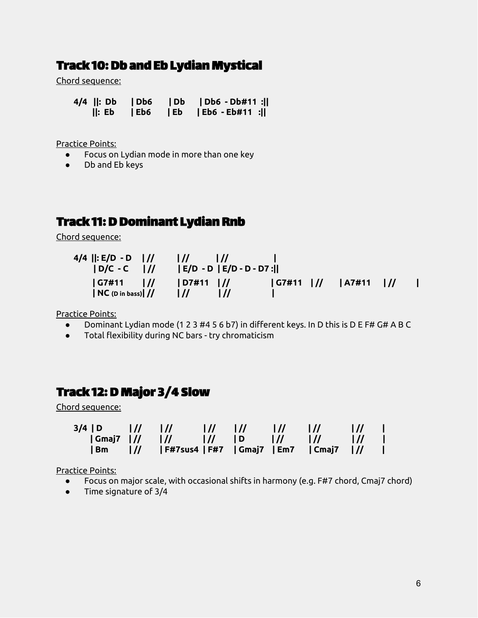### **Track 10: Db and Eb Lydian Mystical**

Chord sequence:

**4/4 ||: Db | Db6 | Db | Db6 - Db#11 :|| ||: Eb | Eb6 | Eb | Eb6 - Eb#11 :||**

Practice Points:

- Focus on Lydian mode in more than one key
- Db and Eb keys

# Track 11: D Dominant Lydian Rnb

Chord sequence:

| 4/4   : E/D - D   //<br>$ D/C - C $                         | $\frac{1}{2}$<br>$\frac{1}{2}$<br>$ E/D - D E/D - D - D7:  $ |  |  |
|-------------------------------------------------------------|--------------------------------------------------------------|--|--|
| G7#11<br>$\frac{1}{2}$<br>$\vert$ NC (D in bass) $\vert$ // | D7#11 <br>$\frac{1}{2}$                                      |  |  |

Practice Points:

- Dominant Lydian mode (1 2 3 #4 5 6 b7) in different keys. In D this is D E F# G# A B C
- Total flexibility during NC bars try chromaticism

### Track 12: D Major 3/4 Slow

Chord sequence:

|  |  |  |                                                            | $\frac{1}{2}$ |  |
|--|--|--|------------------------------------------------------------|---------------|--|
|  |  |  |                                                            |               |  |
|  |  |  | Bm   <i>  </i>  F#7sus4 F#7  Gmaj7  Em7  Cmaj7   <i>  </i> |               |  |

- Focus on major scale, with occasional shifts in harmony (e.g. F#7 chord, Cmaj7 chord)
- Time signature of 3/4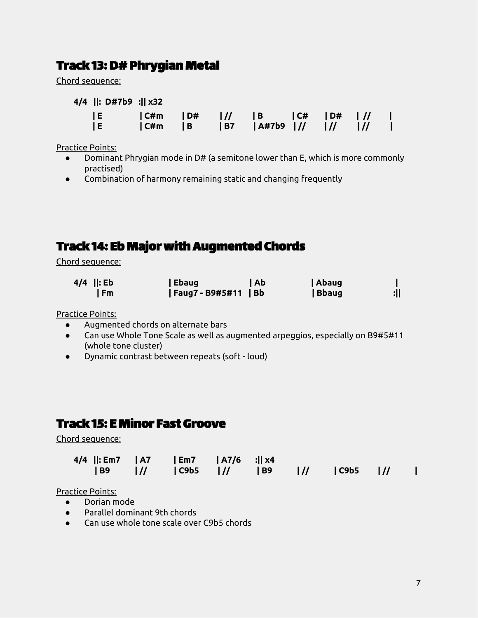# Track 13:D#Phrygian Metal

Chord sequence:

**4/4 ||: D#7b9 :|| x32**

| E |  |                                       |  |  |
|---|--|---------------------------------------|--|--|
| E |  | C#m   B   B7   A#7b9   //    //    // |  |  |

Practice Points:

- Dominant Phrygian mode in D# (a semitone lower than E, which is more commonly practised)
- Combination of harmony remaining static and changing frequently

### Track 14: Eb Major with Augmented Chords

Chord sequence:

| $4/4$   : Eb | Ebaug                | Ab | Abaug |            |
|--------------|----------------------|----|-------|------------|
| I Fm         | Faug7 - B9#5#11   Bb |    | Bbaug | <u>:  </u> |

Practice Points:

- Augmented chords on alternate bars
- Can use Whole Tone Scale as well as augmented arpeggios, especially on B9#5#11 (whole tone cluster)
- Dynamic contrast between repeats (soft loud)

# Track 15: E Minor Fast Groove

Chord sequence:

| 4/4   : Em7   A7   Em7   A7/6 :   x4 |  |  |  |  |
|--------------------------------------|--|--|--|--|
|                                      |  |  |  |  |

- Dorian mode
- Parallel dominant 9th chords
- Can use whole tone scale over C9b5 chords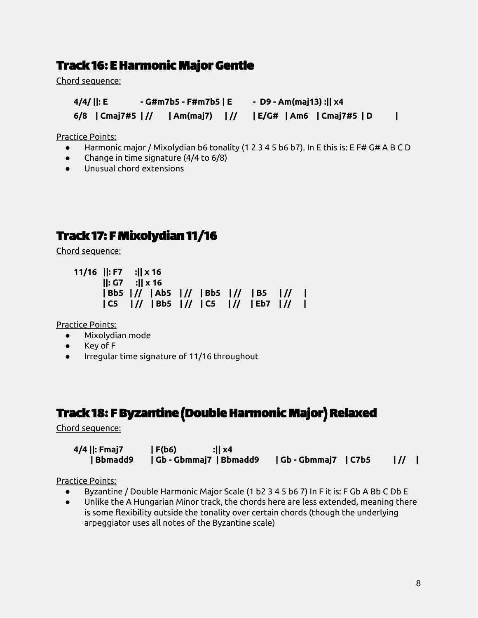### Track 16: EHarmonic Major Gentle

Chord sequence:

**4/4/ ||: E - G#m7b5 - F#m7b5 | E - D9 - Am(maj13) :|| x4 6/8 | Cmaj7#5 | // | Am(maj7) | // | E/G# | Am6 | Cmaj7#5 | D |**

Practice Points:

- Harmonic major / Mixolydian b6 tonality (1 2 3 4 5 b6 b7). In E this is: E F# G# A B C D
- Change in time signature (4/4 to 6/8)
- Unusual chord extensions

### Track 17: F Mixolydian 11/16

Chord sequence:

```
11/16 ||: F7 :|| x 16
      ||: G7 :|| x 16
      | Bb5 | // | Ab5 | // | Bb5 | // | B5 | // |
      | C5 | // | Bb5 | // | C5 | // | Eb7 | // |
```
Practice Points:

- Mixolydian mode
- Key of F
- Irregular time signature of 11/16 throughout

### Track 18: F Byzantine (Double Harmonic Major) Relaxed

Chord sequence:

| 4/4   : Fmaj7 | F(b6) <br>:II x4 |                            |
|---------------|------------------|----------------------------|
|               |                  | $\parallel$ // $\parallel$ |

- Byzantine / Double Harmonic Major Scale (1 b2 3 4 5 b6 7) In F it is: F Gb A Bb C Db E
- Unlike the A Hungarian Minor track, the chords here are less extended, meaning there is some flexibility outside the tonality over certain chords (though the underlying arpeggiator uses all notes of the Byzantine scale)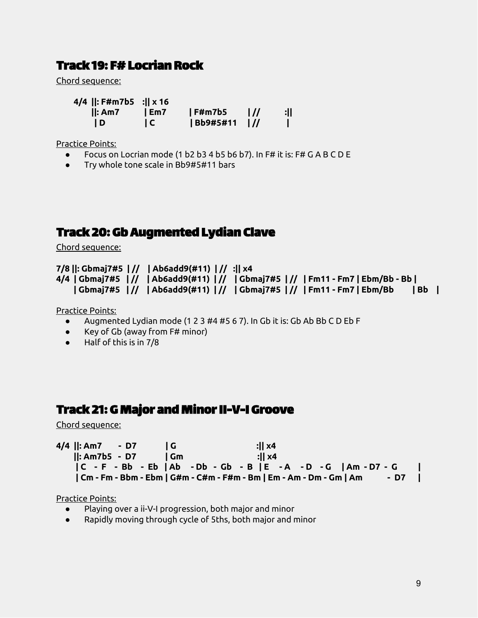### Track 19: F#Locrian Rock

Chord sequence:

**4/4 ||: F#m7b5 :|| x 16**

**||: Am7 | Em7 | F#m7b5 | // :|| | D | C | Bb9#5#11 | // |**

Practice Points:

- Focus on Locrian mode (1 b2 b3 4 b5 b6 b7). In F# it is: F# G A B C D E
- Try whole tone scale in Bb9#5#11 bars

### Track 20: Gb Augmented Lydian Clave

Chord sequence:

```
7/8 ||: Gbmaj7#5 | // | Ab6add9(#11) | // :|| x4
4/4 | Gbmaj7#5 |// | Ab6add9(#11) |// | Gbmaj7#5 |// | Fm11 - Fm7 | Ebm/Bb - Bb |
    | Gbmaj7#5 | // | Ab6add9(#11) | // | Gbmaj7#5 | // | Fm11 - Fm7 | Ebm/Bb | Bb |
```
Practice Points:

- Augmented Lydian mode (1 2 3 #4 #5 6 7). In Gb it is: Gb Ab Bb C D Eb F
- Key of Gb (away from F# minor)
- Half of this is in 7/8

# Track 21: G Major and Minor II-V-I Groove

Chord sequence:

| $4/4$   : Am7 - D7       |      | :II x4                                                              |      |  |
|--------------------------|------|---------------------------------------------------------------------|------|--|
| $\parallel$ : Am7b5 - D7 | l Gm | :II x4                                                              |      |  |
|                          |      | C - F - Bb - Eb   Ab - Db - Gb - B   E - A - D - G   Am - D7 - G    |      |  |
|                          |      | Cm - Fm - Bbm - Ebm   G#m - C#m - F#m - Bm   Em - Am - Dm - Gm   Am | - D7 |  |

- Playing over a ii-V-I progression, both major and minor
- Rapidly moving through cycle of 5ths, both major and minor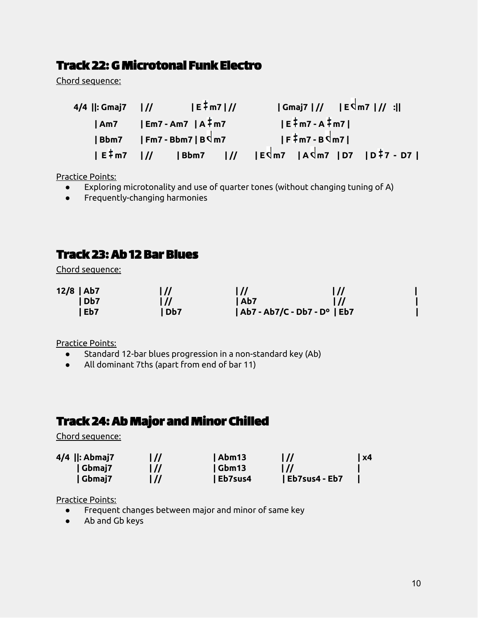### Track 22: G Microtonal Funk Electro

Chord sequence:

| 4/4   : Gmaj7 | $ E \frac{1}{7}$ m7   //                                                                  |                                         | $ Gmaj7 $ // $ E^{d}m7 $ // : |  |  |  |
|---------------|-------------------------------------------------------------------------------------------|-----------------------------------------|-------------------------------|--|--|--|
|               | $ Am7 $ $ Em7 - Am7 A/m7 $                                                                |                                         | $ E \nmid m7 - A \nmid m7 $   |  |  |  |
|               | $ Bbm7 $   Fm7 - Bbm7   B $\frac{1}{3}$ m7                                                | $ F^{\frac{1}{4}}m7-B$ $\frac{1}{2}$ m7 |                               |  |  |  |
|               | $ E^{\frac{1}{4}}m7 $ // $ Bbm7 $ // $ E\sin7 A\sin7 D7 D7$ $ D^{\frac{1}{4}}7 \cdot D7 $ |                                         |                               |  |  |  |

Practice Points:

- Exploring microtonality and use of quarter tones (without changing tuning of A)
- Frequently-changing harmonies

### Track 23: Ab 12 Bar Blues

Chord sequence:

| $12/8$   Ab7 |                  | $\overline{1}$  | l //                         | l // |
|--------------|------------------|-----------------|------------------------------|------|
|              | 1 <sub>Db7</sub> | $\overline{1}$  | Ab7                          |      |
|              | l Eb7            | Db <sub>7</sub> | Ab7 - Ab7/C - Db7 - D°   Eb7 |      |

Practice Points:

- Standard 12-bar blues progression in a non-standard key (Ab)
- All dominant 7ths (apart from end of bar 11)

# Track 24: Ab Major and Minor Chilled

Chord sequence:

| 4/4   : Abmaj7 | l // | Abm13   | $\overline{1}$ | $\vert$ x4 |
|----------------|------|---------|----------------|------------|
| /Cbmaj7        | l // | Gbm13   | $\overline{1}$ |            |
| Gbmai7         |      | Eb7sus4 | Eb7sus4 - Eb7  |            |

- Frequent changes between major and minor of same key
- Ab and Gb keys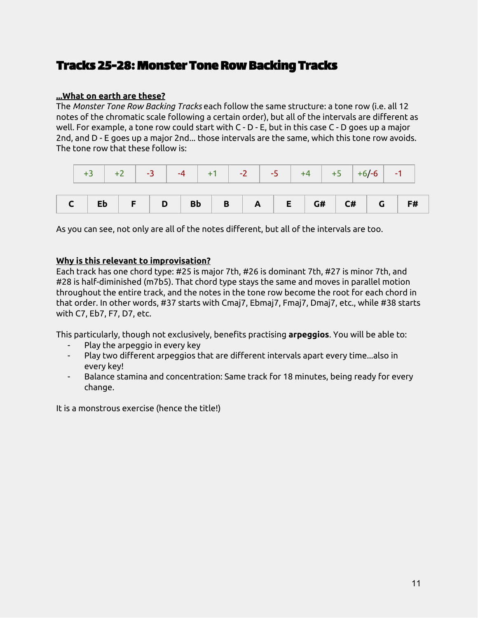### Tracks 25-28: Monster Tone Row Backing Tracks

#### **...What on earth are these?**

The *Monster Tone Row Backing Tracks* each follow the same structure: a tone row (i.e. all 12 notes of the chromatic scale following a certain order), but all of the intervals are different as well. For example, a tone row could start with C - D - E, but in this case C - D goes up a major 2nd, and D - E goes up a major 2nd... those intervals are the same, which this tone row avoids. The tone row that these follow is:

|  |  |  |  |  | $+3$ $+2$ $-3$ $-4$ $+1$ $-2$ $-5$ $+4$ $+5$ $+6/-6$ $-1$ |  |  |  |
|--|--|--|--|--|-----------------------------------------------------------|--|--|--|
|  |  |  |  |  |                                                           |  |  |  |

As you can see, not only are all of the notes different, but all of the intervals are too.

#### **Why is this relevant to improvisation?**

Each track has one chord type: #25 is major 7th, #26 is dominant 7th, #27 is minor 7th, and #28 is half-diminished (m7b5). That chord type stays the same and moves in parallel motion throughout the entire track, and the notes in the tone row become the root for each chord in that order. In other words, #37 starts with Cmaj7, Ebmaj7, Fmaj7, Dmaj7, etc., while #38 starts with C7, Eb7, F7, D7, etc.

This particularly, though not exclusively, benefits practising **arpeggios**. You will be able to:

- Play the arpeggio in every key
- Play two different arpeggios that are different intervals apart every time...also in every key!
- Balance stamina and concentration: Same track for 18 minutes, being ready for every change.

It is a monstrous exercise (hence the title!)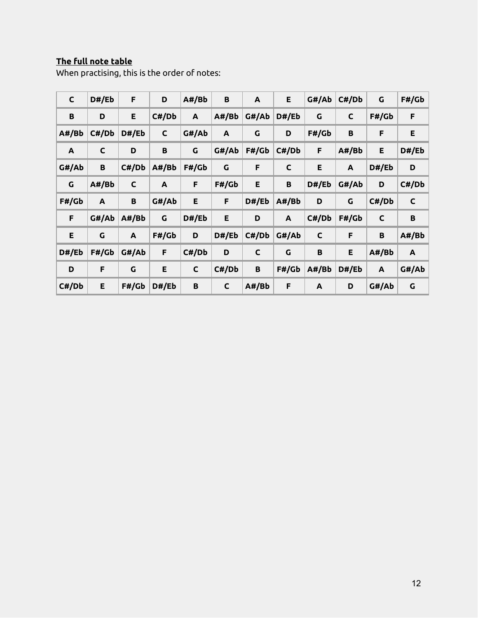#### **The full note table**

When practising, this is the order of notes:

| $\mathsf{C}$ | D#/Eb | F.           | D            | A#/Bb        | B            | A            | E            | G#/Ab        | C#/Db        | G            | F#/Gb        |
|--------------|-------|--------------|--------------|--------------|--------------|--------------|--------------|--------------|--------------|--------------|--------------|
| B            | D     | E            | C#/Db        | A            | A#/Bb        | G#/Ab        | D#/Eb        | $\mathsf G$  | $\mathsf{C}$ | F#/Gb        | F            |
| A#/Bb        | C#/Db | D#/Eb        | $\mathsf C$  | G#/Ab        | $\mathsf{A}$ | G            | D            | F#/Gb        | B            | F            | E            |
| $\mathsf{A}$ | C     | D            | B            | G            | G#/Ab        | F#/Gb        | C#/Db        | F            | A#/Bb        | E            | D#/Eb        |
| G#/Ab        | B     | C#/Db        | A#/Bb        | F#/Gb        | G            | F            | $\mathsf{C}$ | E.           | $\mathbf{A}$ | D#/Eb        | D            |
| G            | A#/Bb | $\mathsf{C}$ | $\mathbf{A}$ | F            | F#/Gb        | E            | B            | D#/Eb        | G#/Ab        | D            | C#/Db        |
| F#/Gb        | A     | $\, {\bf B}$ | G#/Ab        | E.           | F            | D#/Eb        | A#/Bb        | D            | G            | C#/Db        | $\mathsf C$  |
| F            | G#/Ab | A#/Bb        | $\mathsf G$  | D#/Eb        | E            | D            | $\mathsf{A}$ | C#/Db        | F#/Gb        | $\mathsf{C}$ | $\, {\bf B}$ |
| E            | G     | A            | F#/Gb        | D            | D#/Eb        | C#/Db        | G#/Ab        | $\mathsf{C}$ | F            | $\pmb B$     | A#/Bb        |
| D#/Eb        | F#/Gb | G#/Ab        | F            | C#/Db        | D            | $\mathsf{C}$ | G            | $\, {\bf B}$ | E            | A#/Bb        | A            |
|              |       |              |              |              |              |              |              |              |              |              |              |
| D            | F     | G            | E            | $\mathsf{C}$ | C#/Db        | B            | F#/Gb        | A#/Bb        | D#/Eb        | A            | G#/Ab        |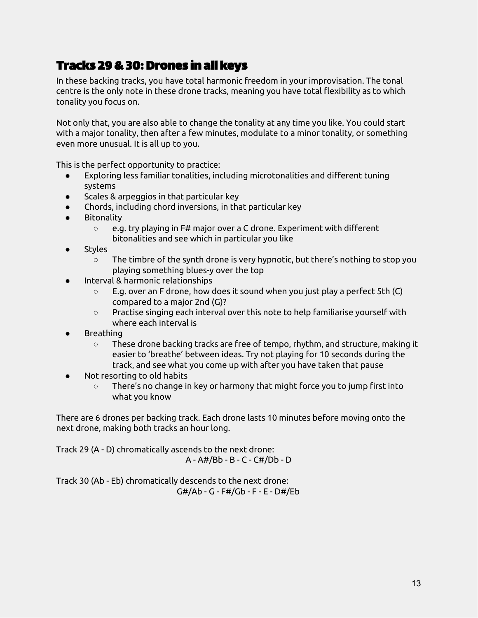# Tracks 29&30:Drones in all keys

In these backing tracks, you have total harmonic freedom in your improvisation. The tonal centre is the only note in these drone tracks, meaning you have total flexibility as to which tonality you focus on.

Not only that, you are also able to change the tonality at any time you like. You could start with a major tonality, then after a few minutes, modulate to a minor tonality, or something even more unusual. It is all up to you.

This is the perfect opportunity to practice:

- Exploring less familiar tonalities, including microtonalities and different tuning systems
- Scales & arpeggios in that particular key
- Chords, including chord inversions, in that particular key
- Bitonality
	- e.g. try playing in F# major over a C drone. Experiment with different bitonalities and see which in particular you like
- Styles
	- $\circ$  The timbre of the synth drone is very hypnotic, but there's nothing to stop you playing something blues-y over the top
- Interval & harmonic relationships
	- E.g. over an F drone, how does it sound when you just play a perfect 5th (C) compared to a major 2nd (G)?
	- Practise singing each interval over this note to help familiarise yourself with where each interval is
- **Breathing** 
	- $\circ$  These drone backing tracks are free of tempo, rhythm, and structure, making it easier to 'breathe' between ideas. Try not playing for 10 seconds during the track, and see what you come up with after you have taken that pause
- Not resorting to old habits
	- There's no change in key or harmony that might force you to jump first into what you know

There are 6 drones per backing track. Each drone lasts 10 minutes before moving onto the next drone, making both tracks an hour long.

Track 29 (A - D) chromatically ascends to the next drone: A - A#/Bb - B - C - C#/Db - D

Track 30 (Ab - Eb) chromatically descends to the next drone: G#/Ab - G - F#/Gb - F - E - D#/Eb